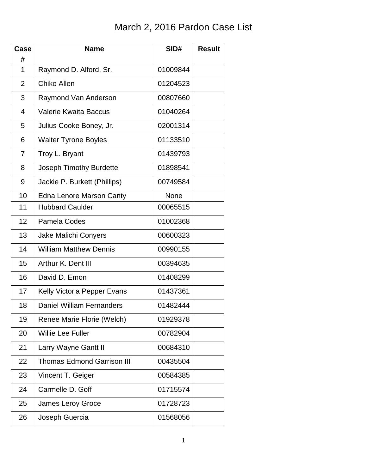## March 2, 2016 Pardon Case List

| Case           | <b>Name</b>                       | SID#     | <b>Result</b> |
|----------------|-----------------------------------|----------|---------------|
| #              |                                   |          |               |
| 1              | Raymond D. Alford, Sr.            | 01009844 |               |
| $\overline{2}$ | Chiko Allen                       | 01204523 |               |
| 3              | Raymond Van Anderson              | 00807660 |               |
| $\overline{4}$ | <b>Valerie Kwaita Baccus</b>      | 01040264 |               |
| 5              | Julius Cooke Boney, Jr.           | 02001314 |               |
| 6              | <b>Walter Tyrone Boyles</b>       | 01133510 |               |
| $\overline{7}$ | Troy L. Bryant                    | 01439793 |               |
| 8              | Joseph Timothy Burdette           | 01898541 |               |
| 9              | Jackie P. Burkett (Phillips)      | 00749584 |               |
| 10             | <b>Edna Lenore Marson Canty</b>   | None     |               |
| 11             | <b>Hubbard Caulder</b>            | 00065515 |               |
| 12             | Pamela Codes                      | 01002368 |               |
| 13             | Jake Malichi Conyers              | 00600323 |               |
| 14             | <b>William Matthew Dennis</b>     | 00990155 |               |
| 15             | Arthur K. Dent III                | 00394635 |               |
| 16             | David D. Emon                     | 01408299 |               |
| 17             | Kelly Victoria Pepper Evans       | 01437361 |               |
| 18             | <b>Daniel William Fernanders</b>  | 01482444 |               |
| 19             | Renee Marie Florie (Welch)        | 01929378 |               |
| 20             | <b>Willie Lee Fuller</b>          | 00782904 |               |
| 21             | Larry Wayne Gantt II              | 00684310 |               |
| 22             | <b>Thomas Edmond Garrison III</b> | 00435504 |               |
| 23             | Vincent T. Geiger                 | 00584385 |               |
| 24             | Carmelle D. Goff                  | 01715574 |               |
| 25             | James Leroy Groce                 | 01728723 |               |
| 26             | Joseph Guercia                    | 01568056 |               |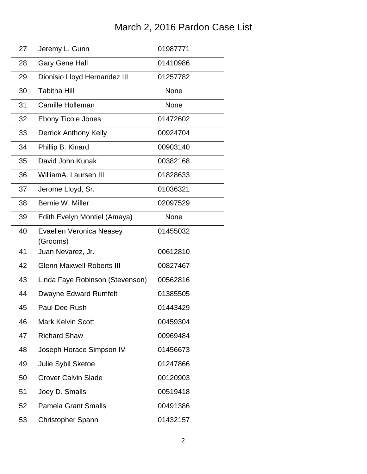## March 2, 2016 Pardon Case List

| 27 | Jeremy L. Gunn                   | 01987771    |
|----|----------------------------------|-------------|
| 28 | <b>Gary Gene Hall</b>            | 01410986    |
| 29 | Dionisio Lloyd Hernandez III     | 01257782    |
| 30 | <b>Tabitha Hill</b>              | <b>None</b> |
| 31 | Camille Holleman                 | None        |
| 32 | Ebony Ticole Jones               | 01472602    |
| 33 | <b>Derrick Anthony Kelly</b>     | 00924704    |
| 34 | Phillip B. Kinard                | 00903140    |
| 35 | David John Kunak                 | 00382168    |
| 36 | WilliamA. Laursen III            | 01828633    |
| 37 | Jerome Lloyd, Sr.                | 01036321    |
| 38 | Bernie W. Miller                 | 02097529    |
| 39 | Edith Evelyn Montiel (Amaya)     | None        |
| 40 | Evaellen Veronica Neasey         | 01455032    |
|    | (Grooms)                         |             |
| 41 | Juan Nevarez, Jr.                | 00612810    |
| 42 | <b>Glenn Maxwell Roberts III</b> | 00827467    |
|    |                                  |             |
| 43 | Linda Faye Robinson (Stevenson)  | 00562816    |
| 44 | <b>Dwayne Edward Rumfelt</b>     | 01385505    |
| 45 | Paul Dee Rush                    | 01443429    |
| 46 | <b>Mark Kelvin Scott</b>         | 00459304    |
| 47 | <b>Richard Shaw</b>              | 00969484    |
| 48 | Joseph Horace Simpson IV         | 01456673    |
| 49 | Julie Sybil Sketoe               | 01247866    |
| 50 | <b>Grover Calvin Slade</b>       | 00120903    |
| 51 | Joey D. Smalls                   | 00519418    |
| 52 | <b>Pamela Grant Smalls</b>       | 00491386    |